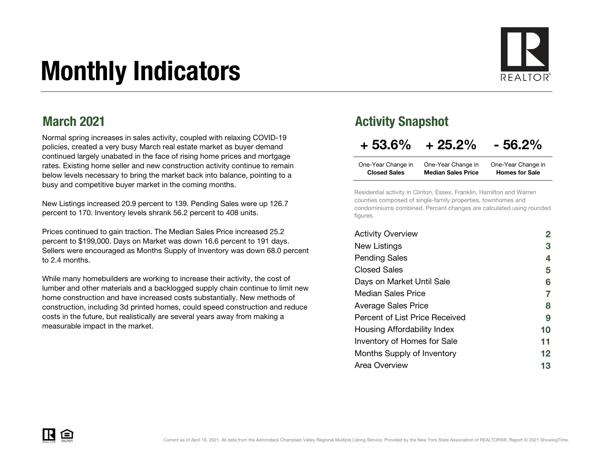# Monthly Indicators



### March 2021

Normal spring increases in sales activity, coupled with relaxing COVID-19 policies, created a very busy March real estate market as buyer demand continued largely unabated in the face of rising home prices and mortgage rates. Existing home seller and new construction activity continue to remain below levels necessary to bring the market back into balance, pointing to a busy and competitive buyer market in the coming months.

New Listings increased 20.9 percent to 139. Pending Sales were up 126.7 percent to 170. Inventory levels shrank 56.2 percent to 408 units.

Prices continued to gain traction. The Median Sales Price increased 25.2 percent to \$199,000. Days on Market was down 16.6 percent to 191 days. Sellers were encouraged as Months Supply of Inventory was down 68.0 percent to 2.4 months.

While many homebuilders are working to increase their activity, the cost of lumber and other materials and a backlogged supply chain continue to limit new home construction and have increased costs substantially. New methods of construction, including 3d printed homes, could speed construction and reduce costs in the future, but realistically are several years away from making a measurable impact in the market.

### Activity Snapshot

### $+ 53.6\% + 25.2\% - 56.2\%$

| One-Year Change in  | One-Year Change in        | One-Year Change in    |
|---------------------|---------------------------|-----------------------|
| <b>Closed Sales</b> | <b>Median Sales Price</b> | <b>Homes for Sale</b> |

Residential activity in Clinton, Essex, Franklin, Hamilton and Warren counties composed of single-family properties, townhomes and condominiums combined. Percent changes are calculated using rounded figures.

| <b>Activity Overview</b>       |                |
|--------------------------------|----------------|
| New Listings                   | 3              |
| <b>Pending Sales</b>           | 4              |
| <b>Closed Sales</b>            | 5              |
| Days on Market Until Sale      | 6              |
| <b>Median Sales Price</b>      | $\overline{7}$ |
| <b>Average Sales Price</b>     | 8              |
| Percent of List Price Received | 9              |
| Housing Affordability Index    | 10             |
| Inventory of Homes for Sale    | 11             |
| Months Supply of Inventory     | 12             |
| Area Overview                  | 13             |

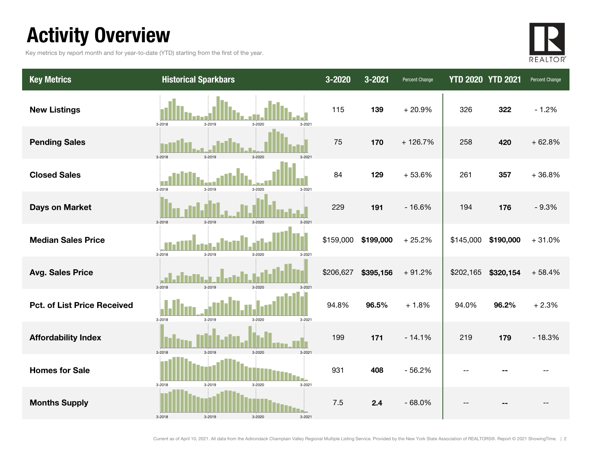## Activity Overview

Key metrics by report month and for year-to-date (YTD) starting from the first of the year.



| <b>Key Metrics</b>                 | <b>Historical Sparkbars</b>              | 3-2020    | 3-2021    | Percent Change | <b>YTD 2020 YTD 2021</b> |           | Percent Change |
|------------------------------------|------------------------------------------|-----------|-----------|----------------|--------------------------|-----------|----------------|
| <b>New Listings</b>                | $3 - 2018$<br>3-2019<br>3-2020<br>3-2021 | 115       | 139       | $+20.9%$       | 326                      | 322       | $-1.2%$        |
| <b>Pending Sales</b>               | 3-2018<br>3-2019<br>3-2020               | 75        | 170       | $+126.7%$      | 258                      | 420       | $+62.8%$       |
| <b>Closed Sales</b>                | $3 - 2018$<br>3-2019<br>3-2020<br>3-2021 | 84        | 129       | $+53.6%$       | 261                      | 357       | $+36.8%$       |
| <b>Days on Market</b>              | 3-2018<br>3-2019<br>3-2020               | 229       | 191       | $-16.6%$       | 194                      | 176       | $-9.3%$        |
| <b>Median Sales Price</b>          | 3-2018<br>3-2019<br>3-2020<br>3-2021     | \$159,000 | \$199,000 | $+25.2%$       | \$145,000                | \$190,000 | $+31.0%$       |
| <b>Avg. Sales Price</b>            | 3-2018<br>3-2019<br>$3 - 202$            | \$206,627 | \$395,156 | $+91.2%$       | \$202,165                | \$320,154 | $+58.4%$       |
| <b>Pct. of List Price Received</b> | 3-2019<br>$3 - 2018$<br>3-2020<br>3-2021 | 94.8%     | 96.5%     | $+1.8%$        | 94.0%                    | 96.2%     | $+2.3%$        |
| <b>Affordability Index</b>         | 3-2019<br>3-2020<br>$3 - 2021$<br>3-2018 | 199       | 171       | $-14.1%$       | 219                      | 179       | $-18.3%$       |
| <b>Homes for Sale</b>              | 3-2021<br>3-2018<br>3-2019<br>3-2020     | 931       | 408       | $-56.2%$       |                          |           |                |
| <b>Months Supply</b>               | $3 - 2019$<br>3-2018<br>3-2020<br>3-2021 | 7.5       | 2.4       | $-68.0%$       |                          |           |                |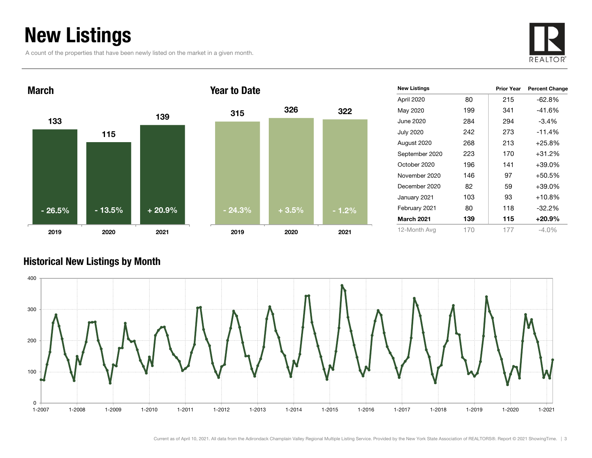## New Listings

A count of the properties that have been newly listed on the market in a given month.





| <b>New Listings</b> |     | <b>Prior Year</b> | <b>Percent Change</b> |
|---------------------|-----|-------------------|-----------------------|
| April 2020          | 80  | 215               | -62.8%                |
| May 2020            | 199 | 341               | $-41.6%$              |
| June 2020           | 284 | 294               | $-3.4\%$              |
| <b>July 2020</b>    | 242 | 273               | $-11.4%$              |
| August 2020         | 268 | 213               | $+25.8%$              |
| September 2020      | 223 | 170               | $+31.2%$              |
| October 2020        | 196 | 141               | $+39.0%$              |
| November 2020       | 146 | 97                | $+50.5%$              |
| December 2020       | 82  | 59                | $+39.0%$              |
| January 2021        | 103 | 93                | $+10.8\%$             |
| February 2021       | 80  | 118               | $-32.2\%$             |
| <b>March 2021</b>   | 139 | 115               | $+20.9%$              |
| 12-Month Avg        | 170 | 177               | $-4.0\%$              |

#### Historical New Listings by Month

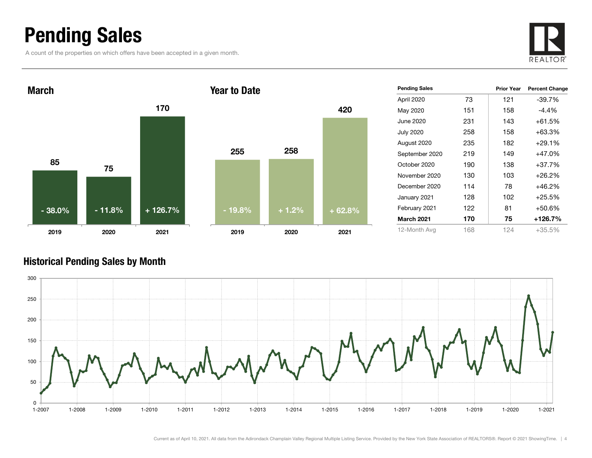### Pending Sales

A count of the properties on which offers have been accepted in a given month.





| <b>Pending Sales</b> |     | <b>Prior Year</b> | <b>Percent Change</b> |
|----------------------|-----|-------------------|-----------------------|
| April 2020           | 73  | 121               | -39.7%                |
| May 2020             | 151 | 158               | -4.4%                 |
| June 2020            | 231 | 143               | $+61.5%$              |
| <b>July 2020</b>     | 258 | 158               | +63.3%                |
| August 2020          | 235 | 182               | $+29.1%$              |
| September 2020       | 219 | 149               | $+47.0%$              |
| October 2020         | 190 | 138               | $+37.7%$              |
| November 2020        | 130 | 103               | $+26.2\%$             |
| December 2020        | 114 | 78                | +46.2%                |
| January 2021         | 128 | 102               | $+25.5%$              |
| February 2021        | 122 | 81                | +50.6%                |
| <b>March 2021</b>    | 170 | 75                | $+126.7%$             |
| 12-Month Avg         | 168 | 124               | +35.5%                |

#### Historical Pending Sales by Month

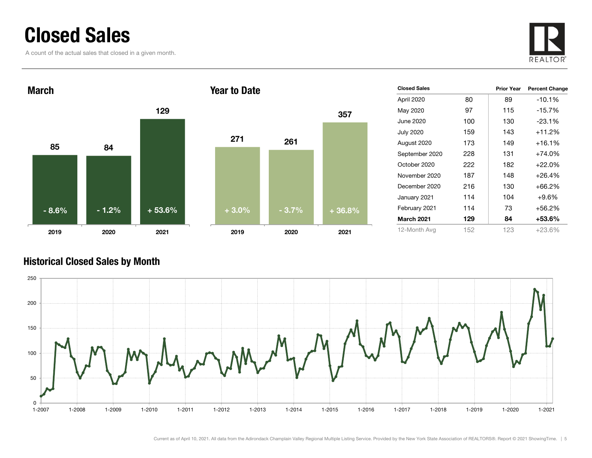### Closed Sales

A count of the actual sales that closed in a given month.





| <b>Closed Sales</b> |     | <b>Prior Year</b> | <b>Percent Change</b> |
|---------------------|-----|-------------------|-----------------------|
| April 2020          | 80  | 89                | $-10.1%$              |
| May 2020            | 97  | 115               | $-15.7%$              |
| June 2020           | 100 | 130               | $-23.1%$              |
| <b>July 2020</b>    | 159 | 143               | $+11.2%$              |
| August 2020         | 173 | 149               | $+16.1%$              |
| September 2020      | 228 | 131               | $+74.0%$              |
| October 2020        | 222 | 182               | $+22.0%$              |
| November 2020       | 187 | 148               | $+26.4%$              |
| December 2020       | 216 | 130               | $+66.2%$              |
| January 2021        | 114 | 104               | $+9.6%$               |
| February 2021       | 114 | 73                | $+56.2%$              |
| <b>March 2021</b>   | 129 | 84                | +53.6%                |
| 12-Month Avg        | 152 | 123               | +23.6%                |

#### Historical Closed Sales by Month

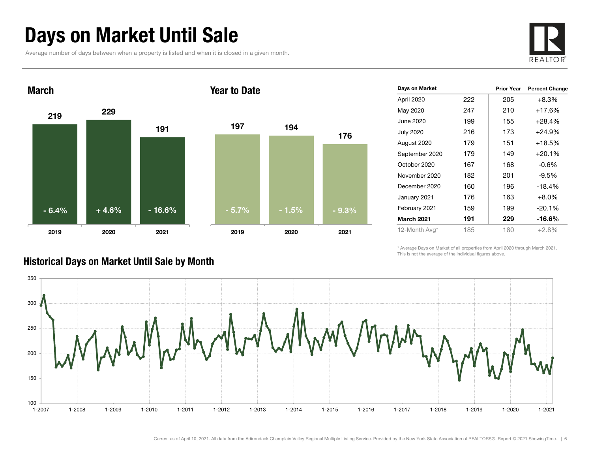### Days on Market Until Sale

Average number of days between when a property is listed and when it is closed in a given month.





| Days on Market    |     | <b>Prior Year</b> | <b>Percent Change</b> |
|-------------------|-----|-------------------|-----------------------|
| April 2020        | 222 | 205               | $+8.3%$               |
| May 2020          | 247 | 210               | $+17.6%$              |
| June 2020         | 199 | 155               | $+28.4%$              |
| <b>July 2020</b>  | 216 | 173               | $+24.9%$              |
| August 2020       | 179 | 151               | $+18.5%$              |
| September 2020    | 179 | 149               | $+20.1%$              |
| October 2020      | 167 | 168               | $-0.6%$               |
| November 2020     | 182 | 201               | $-9.5%$               |
| December 2020     | 160 | 196               | $-18.4%$              |
| January 2021      | 176 | 163               | $+8.0%$               |
| February 2021     | 159 | 199               | $-20.1%$              |
| <b>March 2021</b> | 191 | 229               | -16.6%                |
| 12-Month Avg*     | 185 | 180               | $+2.8%$               |

\* Average Days on Market of all properties from April 2020 through March 2021. This is not the average of the individual figures above.



#### Historical Days on Market Until Sale by Month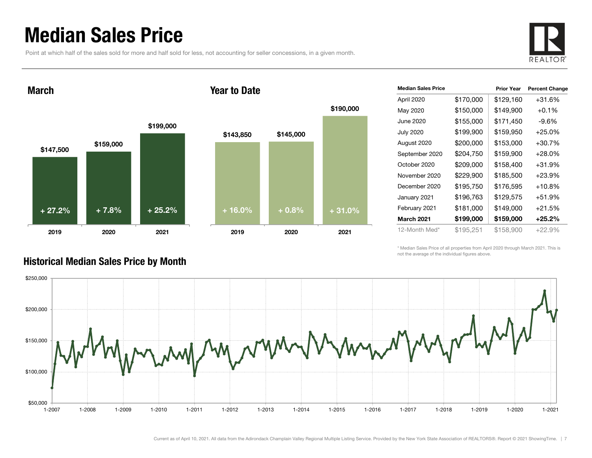### Median Sales Price

Point at which half of the sales sold for more and half sold for less, not accounting for seller concessions, in a given month.

Year to Date



March





| <b>Median Sales Price</b> |           | <b>Prior Year</b> | <b>Percent Change</b> |
|---------------------------|-----------|-------------------|-----------------------|
| April 2020                | \$170,000 | \$129,160         | +31.6%                |
| May 2020                  | \$150,000 | \$149,900         | $+0.1\%$              |
| June 2020.                | \$155,000 | \$171,450         | -9.6%                 |
| <b>July 2020</b>          | \$199,900 | \$159,950         | $+25.0\%$             |
| August 2020               | \$200,000 | \$153,000         | +30.7%                |
| September 2020            | \$204,750 | \$159,900         | $+28.0\%$             |
| October 2020              | \$209,000 | \$158,400         | +31.9%                |
| November 2020             | \$229,900 | \$185,500         | +23.9%                |
| December 2020             | \$195,750 | \$176,595         | +10.8%                |
| January 2021              | \$196,763 | \$129,575         | +51.9%                |
| February 2021             | \$181,000 | \$149,000         | +21.5%                |
| March 2021                | \$199,000 | \$159,000         | +25.2%                |
| 12-Month Med*             | \$195,251 | \$158,900         | $+22.9%$              |

\* Median Sales Price of all properties from April 2020 through March 2021. This is not the average of the individual figures above.



#### Historical Median Sales Price by Month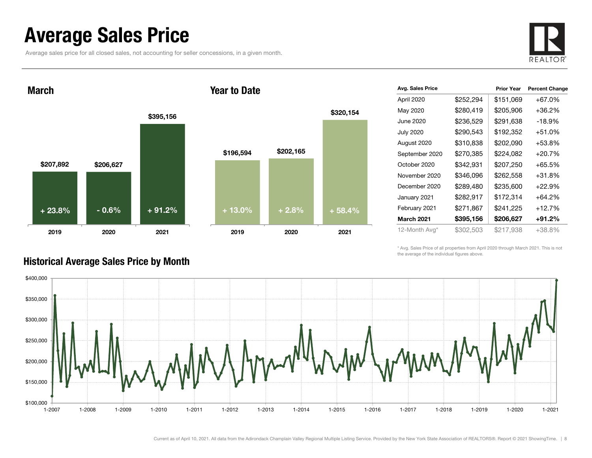### Average Sales Price

Average sales price for all closed sales, not accounting for seller concessions, in a given month.



\$207,892 \$206,627 \$395,156 2019 2020 2021 March\$196,594 \$202,165 2019 2020 2021 + 23.8% $\%$  - 0.6% + 91.2% + 13.0% + 2.8% + 58.4%

#### Year to Date



\* Avg. Sales Price of all properties from April 2020 through March 2021. This is not the average of the individual figures above.



#### Historical Average Sales Price by Month

\$320,154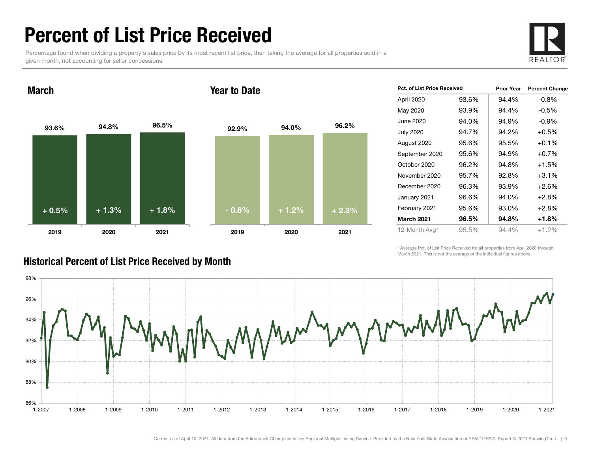### Percent of List Price Received

Percentage found when dividing a property's sales price by its most recent list price, then taking the average for all properties sold in a given month, not accounting for seller concessions.



93.6% 94.8% 96.5% 2019 2020 2021 March92.9% 94.0% 96.2% 2019 2020 2021 Year to Date+ 0.5% $\%$  + 1.3% + 1.8% - 0.6% + 1.2% + 2.3%

| Pct. of List Price Received |       | <b>Prior Year</b> | <b>Percent Change</b> |
|-----------------------------|-------|-------------------|-----------------------|
| April 2020                  | 93.6% | 94.4%             | $-0.8%$               |
| May 2020                    | 93.9% | 94.4%             | $-0.5\%$              |
| June 2020                   | 94.0% | 94.9%             | $-0.9%$               |
| <b>July 2020</b>            | 94.7% | 94.2%             | $+0.5%$               |
| August 2020                 | 95.6% | 95.5%             | $+0.1%$               |
| September 2020              | 95.6% | 94.9%             | $+0.7%$               |
| October 2020                | 96.2% | 94.8%             | $+1.5%$               |
| November 2020               | 95.7% | 92.8%             | $+3.1%$               |
| December 2020               | 96.3% | 93.9%             | $+2.6%$               |
| January 2021                | 96.6% | 94.0%             | $+2.8%$               |
| February 2021               | 95.6% | 93.0%             | $+2.8%$               |
| <b>March 2021</b>           | 96.5% | 94.8%             | +1.8%                 |
| 12-Month Avg*               | 95.5% | 94.4%             | $+1.2%$               |

\* Average Pct. of List Price Received for all properties from April 2020 through March 2021. This is not the average of the individual figures above.



#### Historical Percent of List Price Received by Month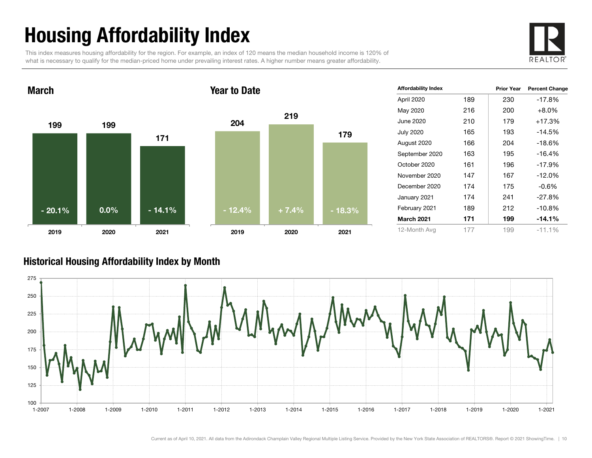# Housing Affordability Index

This index measures housing affordability for the region. For example, an index of 120 means the median household income is 120% of what is necessary to qualify for the median-priced home under prevailing interest rates. A higher number means greater affordability.





| <b>Affordability Index</b> |     | <b>Prior Year</b> | <b>Percent Change</b> |
|----------------------------|-----|-------------------|-----------------------|
| April 2020                 | 189 | 230               | -17.8%                |
| May 2020                   | 216 | 200               | $+8.0%$               |
| June 2020                  | 210 | 179               | $+17.3%$              |
| <b>July 2020</b>           | 165 | 193               | $-14.5%$              |
| August 2020                | 166 | 204               | $-18.6%$              |
| September 2020             | 163 | 195               | $-16.4%$              |
| October 2020               | 161 | 196               | $-17.9%$              |
| November 2020              | 147 | 167               | $-12.0%$              |
| December 2020              | 174 | 175               | $-0.6%$               |
| January 2021               | 174 | 241               | $-27.8%$              |
| February 2021              | 189 | 212               | $-10.8%$              |
| <b>March 2021</b>          | 171 | 199               | $-14.1%$              |
| 12-Month Avg               | 177 | 199               | $-11.1%$              |

#### Historical Housing Affordability Index by Mont h

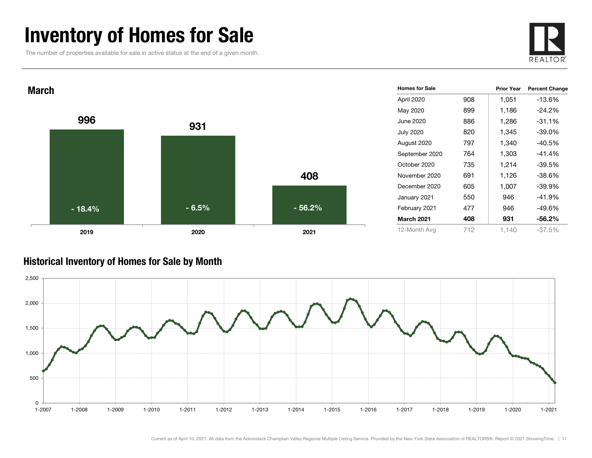### Inventory of Homes for Sale

The number of properties available for sale in active status at the end of a given month.





#### Historical Inventory of Homes for Sale by Month

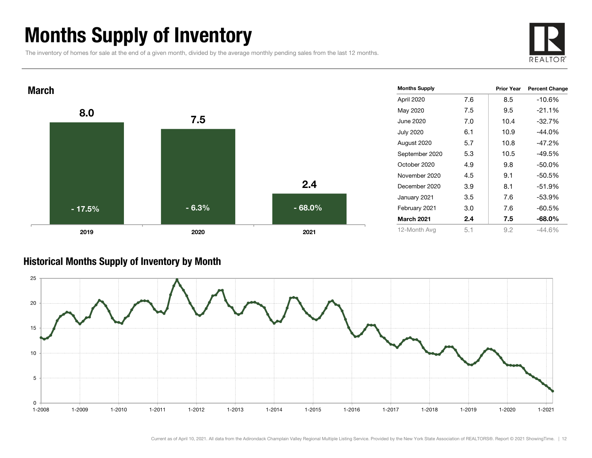### Months Supply of Inventory

The inventory of homes for sale at the end of a given month, divided by the average monthly pending sales from the last 12 months.





#### Historical Months Supply of Inventory by Month



Current as of April 10, 2021. All data from the Adirondack Champlain Valley Regional Multiple Listing Service. Provided by the New York State Association of REALTORS®. Report © 2021 ShowingTime. | 12